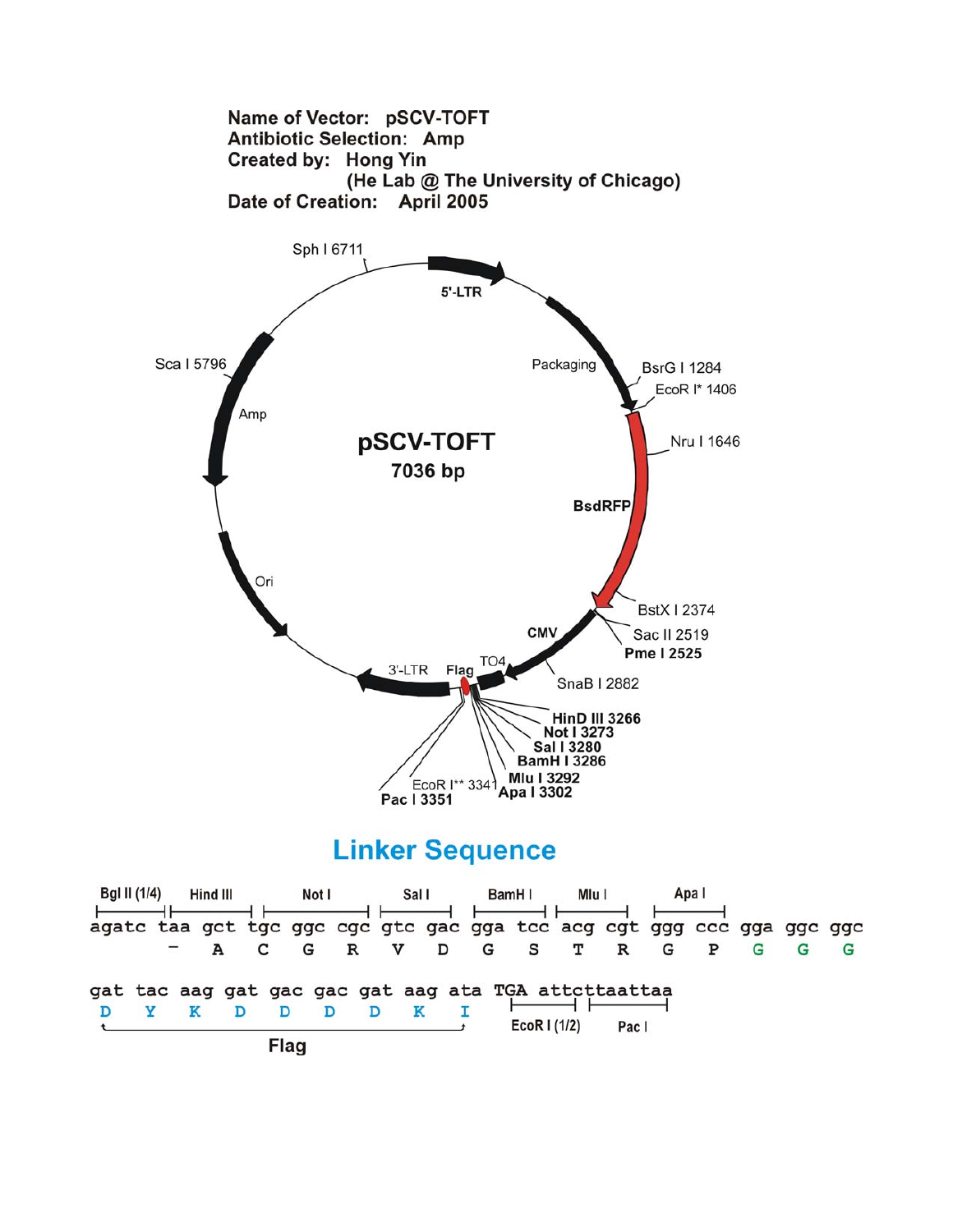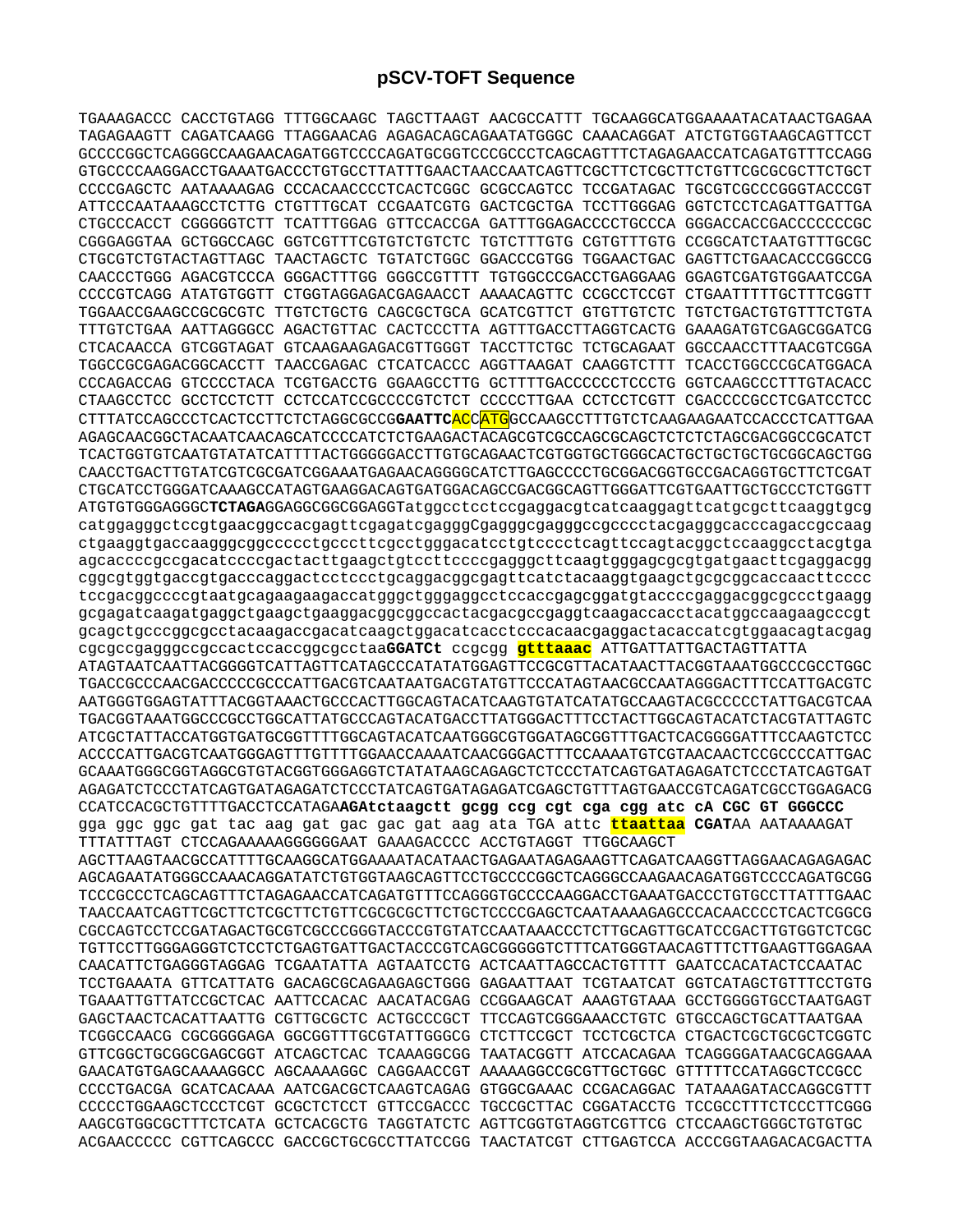TGAAAGACCC CACCTGTAGG TTTGGCAAGC TAGCTTAAGT AACGCCATTT TGCAAGGCATGGAAAATACATAACTGAGAA TAGAGAAGTT CAGATCAAGG TTAGGAACAG AGAGACAGCAGAATATGGGC CAAACAGGAT ATCTGTGGTAAGCAGTTCCT GCCCCGGCTCAGGGCCAAGAACAGATGGTCCCCAGATGCGGTCCCGCCCTCAGCAGTTTCTAGAGAACCATCAGATGTTTCCAGG GTGCCCCAAGGACCTGAAATGACCCTGTGCCTTATTTGAACTAACCAATCAGTTCGCTTCTCGCTTCTGTTCGCGCGCTTCTGCT CCCCGAGCTC AATAAAAGAG CCCACAACCCCTCACTCGGC GCGCCAGTCC TCCGATAGAC TGCGTCGCCCGGGTACCCGT ATTCCCAATAAAGCCTCTTG CTGTTTGCAT CCGAATCGTG GACTCGCTGA TCCTTGGGAG GGTCTCCTCAGATTGATTGA CTGCCCACCT CGGGGGTCTT TCATTTGGAG GTTCCACCGA GATTTGGAGACCCCTGCCCA GGGACCACCGACCCCCCCGC CGGGAGGTAA GCTGGCCAGC GGTCGTTTCGTGTCTGTCTC TGTCTTTGTG CGTGTTTGTG CCGGCATCTAATGTTTGCGC CTGCGTCTGTACTAGTTAGC TAACTAGCTC TGTATCTGGC GGACCCGTGG TGGAACTGAC GAGTTCTGAACACCCGGCCG CAACCCTGGG AGACGTCCCA GGGACTTTGG GGGCCGTTTT TGTGGCCCGACCTGAGGAAG GGAGTCGATGTGGAATCCGA CCCCGTCAGG ATATGTGGTT CTGGTAGGAGACGAGAACCT AAAACAGTTC CCGCCTCCGT CTGAATTTTTGCTTTCGGTT TGGAACCGAAGCCGCGCGTC TTGTCTGCTG CAGCGCTGCA GCATCGTTCT GTGTTGTCTC TGTCTGACTGTGTTTCTGTA TTTGTCTGAA AATTAGGGCC AGACTGTTAC CACTCCCTTA AGTTTGACCTTAGGTCACTG GAAAGATGTCGAGCGGATCG CTCACAACCA GTCGGTAGAT GTCAAGAAGAGACGTTGGGT TACCTTCTGC TCTGCAGAAT GGCCAACCTTTAACGTCGGA TGGCCGCGAGACGGCACCTT TAACCGAGAC CTCATCACCC AGGTTAAGAT CAAGGTCTTT TCACCTGGCCCGCATGGACA CCCAGACCAG GTCCCCTACA TCGTGACCTG GGAAGCCTTG GCTTTTGACCCCCCTCCCTG GGTCAAGCCCTTTGTACACC CTAAGCCTCC GCCTCCTCTT CCTCCATCCGCCCCGTCTCT CCCCCTTGAA CCTCCTCGTT CGACCCCGCCTCGATCCTCC CTTTATCCAGCCCTCACTCCTTCTCTAGGCGCCG**GAATTC**ACCATGGCCAAGCCTTTGTCTCAAGAAGAATCCACCCTCATTGAA AGAGCAACGGCTACAATCAACAGCATCCCCATCTCTGAAGACTACAGCGTCGCCAGCGCAGCTCTCTCTAGCGACGGCCGCATCT TCACTGGTGTCAATGTATATCATTTTACTGGGGGACCTTGTGCAGAACTCGTGGTGCTGGGCACTGCTGCTGCTGCGGCAGCTGG CAACCTGACTTGTATCGTCGCGATCGGAAATGAGAACAGGGGCATCTTGAGCCCCTGCGGACGGTGCCGACAGGTGCTTCTCGAT CTGCATCCTGGGATCAAAGCCATAGTGAAGGACAGTGATGGACAGCCGACGGCAGTTGGGATTCGTGAATTGCTGCCCTCTGGTT ATGTGTGGGAGGGC**TCTAGA**GGAGGCGGCGGAGGTatggcctcctccgaggacgtcatcaaggagttcatgcgcttcaaggtgcg catggagggctccgtgaacggccacgagttcgagatcgagggCgagggcgagggccgcccctacgagggcacccagaccgccaag ctgaaggtgaccaagggcggccccctgcccttcgcctgggacatcctgtcccctcagttccagtacggctccaaggcctacgtga agcaccccgccgacatccccgactacttgaagctgtccttccccgagggcttcaagtgggagcgcgtgatgaacttcgaggacgg cggcgtggtgaccgtgacccaggactcctccctgcaggacggcgagttcatctacaaggtgaagctgcgcggcaccaacttcccc tccgacggccccgtaatgcagaagaagaccatgggctgggaggcctccaccgagcggatgtaccccgaggacggcgccctgaagg gcgagatcaagatgaggctgaagctgaaggacggcggccactacgacgccgaggtcaagaccacctacatggccaagaagcccgt gcagctgcccggcgcctacaagaccgacatcaagctggacatcacctcccacaacgaggactacaccatcgtggaacagtacgag cgcgccgagggccgccactccaccggcgcctaa**GGATCt** ccgcgg **gtttaaac** ATTGATTATTGACTAGTTATTA ATAGTAATCAATTACGGGGTCATTAGTTCATAGCCCATATATGGAGTTCCGCGTTACATAACTTACGGTAAATGGCCCGCCTGGC TGACCGCCCAACGACCCCCGCCCATTGACGTCAATAATGACGTATGTTCCCATAGTAACGCCAATAGGGACTTTCCATTGACGTC AATGGGTGGAGTATTTACGGTAAACTGCCCACTTGGCAGTACATCAAGTGTATCATATGCCAAGTACGCCCCCTATTGACGTCAA TGACGGTAAATGGCCCGCCTGGCATTATGCCCAGTACATGACCTTATGGGACTTTCCTACTTGGCAGTACATCTACGTATTAGTC ATCGCTATTACCATGGTGATGCGGTTTTGGCAGTACATCAATGGGCGTGGATAGCGGTTTGACTCACGGGGATTTCCAAGTCTCC ACCCCATTGACGTCAATGGGAGTTTGTTTTGGAACCAAAATCAACGGGACTTTCCAAAATGTCGTAACAACTCCGCCCCATTGAC GCAAATGGGCGGTAGGCGTGTACGGTGGGAGGTCTATATAAGCAGAGCTCTCCCTATCAGTGATAGAGATCTCCCTATCAGTGAT AGAGATCTCCCTATCAGTGATAGAGATCTCCCTATCAGTGATAGAGATCGAGCTGTTTAGTGAACCGTCAGATCGCCTGGAGACG CCATCCACGCTGTTTTGACCTCCATAGA**AGAtctaagctt gcgg ccg cgt cga cgg atc cA CGC GT GGGCCC**  gga ggc ggc gat tac aag gat gac gac gat aag ata TGA attc **ttaattaa CGAT**AA AATAAAAGAT TTTATTTAGT CTCCAGAAAAAGGGGGGAAT GAAAGACCCC ACCTGTAGGT TTGGCAAGCT AGCTTAAGTAACGCCATTTTGCAAGGCATGGAAAATACATAACTGAGAATAGAGAAGTTCAGATCAAGGTTAGGAACAGAGAGAC AGCAGAATATGGGCCAAACAGGATATCTGTGGTAAGCAGTTCCTGCCCCGGCTCAGGGCCAAGAACAGATGGTCCCCAGATGCGG TCCCGCCCTCAGCAGTTTCTAGAGAACCATCAGATGTTTCCAGGGTGCCCCAAGGACCTGAAATGACCCTGTGCCTTATTTGAAC TAACCAATCAGTTCGCTTCTCGCTTCTGTTCGCGCGCTTCTGCTCCCCGAGCTCAATAAAAGAGCCCACAACCCCTCACTCGGCG CGCCAGTCCTCCGATAGACTGCGTCGCCCGGGTACCCGTGTATCCAATAAACCCTCTTGCAGTTGCATCCGACTTGTGGTCTCGC TGTTCCTTGGGAGGGTCTCCTCTGAGTGATTGACTACCCGTCAGCGGGGGTCTTTCATGGGTAACAGTTTCTTGAAGTTGGAGAA CAACATTCTGAGGGTAGGAG TCGAATATTA AGTAATCCTG ACTCAATTAGCCACTGTTTT GAATCCACATACTCCAATAC TCCTGAAATA GTTCATTATG GACAGCGCAGAAGAGCTGGG GAGAATTAAT TCGTAATCAT GGTCATAGCTGTTTCCTGTG TGAAATTGTTATCCGCTCAC AATTCCACAC AACATACGAG CCGGAAGCAT AAAGTGTAAA GCCTGGGGTGCCTAATGAGT GAGCTAACTCACATTAATTG CGTTGCGCTC ACTGCCCGCT TTCCAGTCGGGAAACCTGTC GTGCCAGCTGCATTAATGAA TCGGCCAACG CGCGGGGAGA GGCGGTTTGCGTATTGGGCG CTCTTCCGCT TCCTCGCTCA CTGACTCGCTGCGCTCGGTC GTTCGGCTGCGGCGAGCGGT ATCAGCTCAC TCAAAGGCGG TAATACGGTT ATCCACAGAA TCAGGGGATAACGCAGGAAA GAACATGTGAGCAAAAGGCC AGCAAAAGGC CAGGAACCGT AAAAAGGCCGCGTTGCTGGC GTTTTTCCATAGGCTCCGCC CCCCTGACGA GCATCACAAA AATCGACGCTCAAGTCAGAG GTGGCGAAAC CCGACAGGAC TATAAAGATACCAGGCGTTT CCCCCTGGAAGCTCCCTCGT GCGCTCTCCT GTTCCGACCC TGCCGCTTAC CGGATACCTG TCCGCCTTTCTCCCTTCGGG AAGCGTGGCGCTTTCTCATA GCTCACGCTG TAGGTATCTC AGTTCGGTGTAGGTCGTTCG CTCCAAGCTGGGCTGTGTGC ACGAACCCCC CGTTCAGCCC GACCGCTGCGCCTTATCCGG TAACTATCGT CTTGAGTCCA ACCCGGTAAGACACGACTTA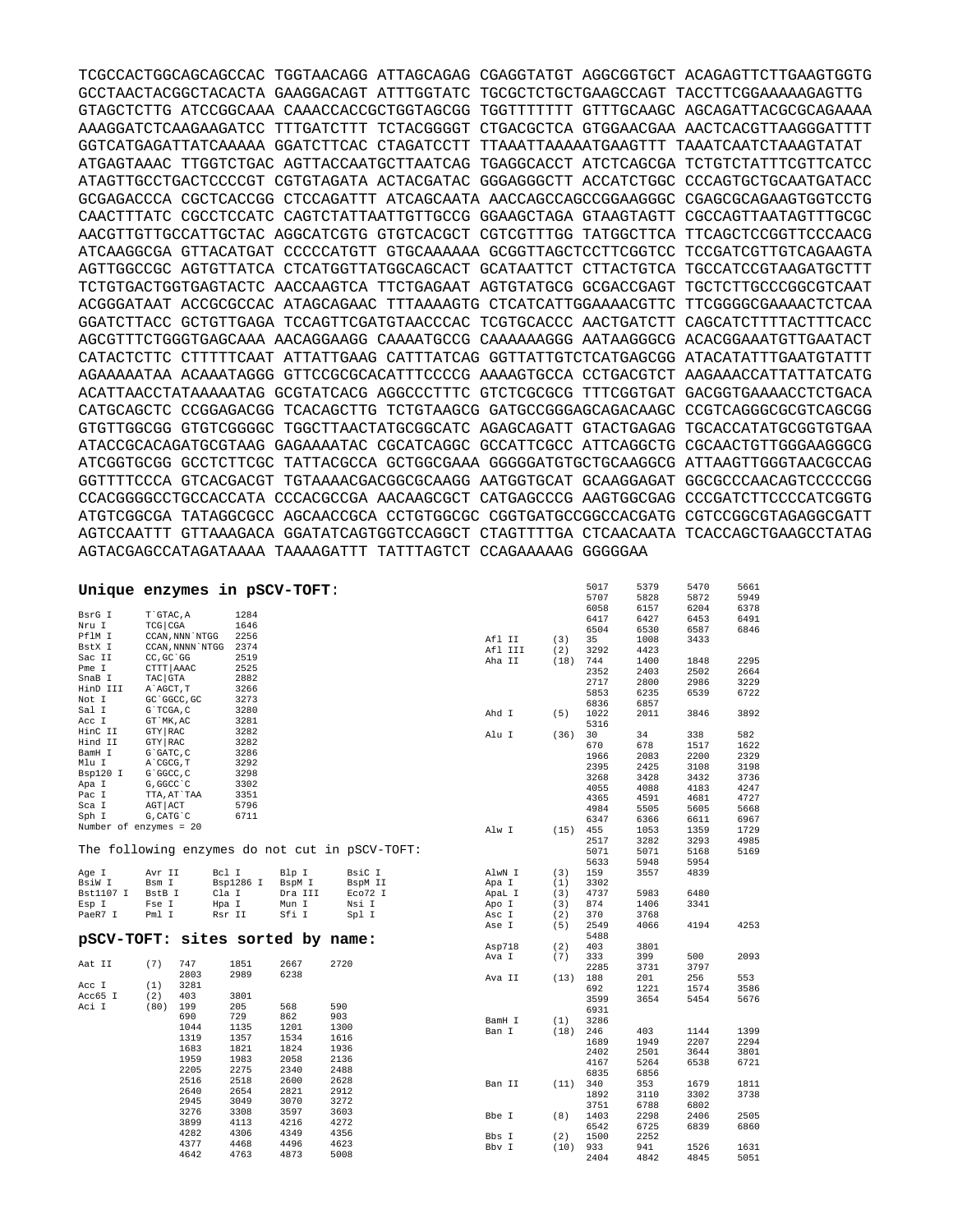TCGCCACTGGCAGCAGCCAC TGGTAACAGG ATTAGCAGAG CGAGGTATGT AGGCGGTGCT ACAGAGTTCTTGAAGTGGTG GCCTAACTACGGCTACACTA GAAGGACAGT ATTTGGTATC TGCGCTCTGCTGAAGCCAGT TACCTTCGGAAAAAGAGTTG GTAGCTCTTG ATCCGGCAAA CAAACCACCGCTGGTAGCGG TGGTTTTTTT GTTTGCAAGC AGCAGATTACGCGCAGAAAA AAAGGATCTCAAGAAGATCC TTTGATCTTT TCTACGGGGT CTGACGCTCA GTGGAACGAA AACTCACGTTAAGGGATTTT GGTCATGAGATTATCAAAAA GGATCTTCAC CTAGATCCTT TTAAATTAAAAATGAAGTTT TAAATCAATCTAAAGTATAT ATGAGTAAAC TTGGTCTGAC AGTTACCAATGCTTAATCAG TGAGGCACCT ATCTCAGCGA TCTGTCTATTTCGTTCATCC ATAGTTGCCTGACTCCCCGT CGTGTAGATA ACTACGATAC GGGAGGGCTT ACCATCTGGC CCCAGTGCTGCAATGATACC GCGAGACCCA CGCTCACCGG CTCCAGATTT ATCAGCAATA AACCAGCCAGCCGGAAGGGC CGAGCGCAGAAGTGGTCCTG CAACTTTATC CGCCTCCATC CAGTCTATTAATTGTTGCCG GGAAGCTAGA GTAAGTAGTT CGCCAGTTAATAGTTTGCGC AACGTTGTTGCCATTGCTAC AGGCATCGTG GTGTCACGCT CGTCGTTTGG TATGGCTTCA TTCAGCTCCGGTTCCCAACG ATCAAGGCGA GTTACATGAT CCCCCATGTT GTGCAAAAAA GCGGTTAGCTCCTTCGGTCC TCCGATCGTTGTCAGAAGTA AGTTGGCCGC AGTGTTATCA CTCATGGTTATGGCAGCACT GCATAATTCT CTTACTGTCA TGCCATCCGTAAGATGCTTT TCTGTGACTGGTGAGTACTC AACCAAGTCA TTCTGAGAAT AGTGTATGCG GCGACCGAGT TGCTCTTGCCCGGCGTCAAT ACGGGATAAT ACCGCGCCAC ATAGCAGAAC TTTAAAAGTG CTCATCATTGGAAAACGTTC TTCGGGGCGAAAACTCTCAA GGATCTTACC GCTGTTGAGA TCCAGTTCGATGTAACCCAC TCGTGCACCC AACTGATCTT CAGCATCTTTTACTTTCACC AGCGTTTCTGGGTGAGCAAA AACAGGAAGG CAAAATGCCG CAAAAAAGGG AATAAGGGCG ACACGGAAATGTTGAATACT CATACTCTTC CTTTTTCAAT ATTATTGAAG CATTTATCAG GGTTATTGTCTCATGAGCGG ATACATATTTGAATGTATTT AGAAAAATAA ACAAATAGGG GTTCCGCGCACATTTCCCCG AAAAGTGCCA CCTGACGTCT AAGAAACCATTATTATCATG ACATTAACCTATAAAAATAG GCGTATCACG AGGCCCTTTC GTCTCGCGCG TTTCGGTGAT GACGGTGAAAACCTCTGACA CATGCAGCTC CCGGAGACGG TCACAGCTTG TCTGTAAGCG GATGCCGGGAGCAGACAAGC CCGTCAGGGCGCGTCAGCGG GTGTTGGCGG GTGTCGGGGC TGGCTTAACTATGCGGCATC AGAGCAGATT GTACTGAGAG TGCACCATATGCGGTGTGAA ATACCGCACAGATGCGTAAG GAGAAAATAC CGCATCAGGC GCCATTCGCC ATTCAGGCTG CGCAACTGTTGGGAAGGGCG ATCGGTGCGG GCCTCTTCGC TATTACGCCA GCTGGCGAAA GGGGGATGTGCTGCAAGGCG ATTAAGTTGGGTAACGCCAG GGTTTTCCCA GTCACGACGT TGTAAAACGACGGCGCAAGG AATGGTGCAT GCAAGGAGAT GGCGCCCAACAGTCCCCCGG CCACGGGGCCTGCCACCATA CCCACGCCGA AACAAGCGCT CATGAGCCCG AAGTGGCGAG CCCGATCTTCCCCATCGGTG ATGTCGGCGA TATAGGCGCC AGCAACCGCA CCTGTGGCGC CGGTGATGCCGGCCACGATG CGTCCGGCGTAGAGGCGATT AGTCCAATTT GTTAAAGACA GGATATCAGTGGTCCAGGCT CTAGTTTTGA CTCAACAATA TCACCAGCTGAAGCCTATAG AGTACGAGCCATAGATAAAA TAAAAGATTT TATTTAGTCT CCAGAAAAAG GGGGGAA

| Unique enzymes in pSCV-TOFT:     |              |                  |           |         |                                                |         |      | 5017 | 5379 | 5470 | 5661 |
|----------------------------------|--------------|------------------|-----------|---------|------------------------------------------------|---------|------|------|------|------|------|
|                                  |              |                  |           |         |                                                |         |      | 5707 | 5828 | 5872 | 5949 |
|                                  |              |                  |           |         |                                                |         |      | 6058 | 6157 | 6204 | 6378 |
| BsrG I                           | T`GTAC, A    |                  | 1284      |         |                                                |         |      | 6417 | 6427 | 6453 | 6491 |
| Nru I                            | TCG CGA      |                  | 1646      |         |                                                |         |      | 6504 | 6530 | 6587 | 6846 |
| PflM I                           |              | CCAN, NNN `NTGG  | 2256      |         |                                                | Afl II  | (3)  | 35   | 1008 | 3433 |      |
| BstX I                           |              | CCAN, NNNN `NTGG | 2374      |         |                                                | Afl III | (2)  | 3292 | 4423 |      |      |
| Sac II                           | CC, GC 'GG   |                  | 2519      |         |                                                | Aha II  | (18) | 744  | 1400 | 1848 | 2295 |
| Pme I                            | CTTT AAAC    |                  | 2525      |         |                                                |         |      | 2352 |      | 2502 |      |
| SnaB I                           | TAC GTA      |                  | 2882      |         |                                                |         |      |      | 2403 |      | 2664 |
| HinD III                         | A`AGCT, T    |                  | 3266      |         |                                                |         |      | 2717 | 2800 | 2986 | 3229 |
| Not I                            | GC `GGCC, GC |                  | 3273      |         |                                                |         |      | 5853 | 6235 | 6539 | 6722 |
| Sal I                            | G`TCGA, C    |                  | 3280      |         |                                                |         |      | 6836 | 6857 |      |      |
| Acc I                            | GT MK, AC    |                  | 3281      |         |                                                | Ahd I   | (5)  | 1022 | 2011 | 3846 | 3892 |
| HinC II                          | GTY RAC      |                  | 3282      |         |                                                |         |      | 5316 |      |      |      |
|                                  |              |                  |           |         |                                                | Alu I   | (36) | 30   | 34   | 338  | 582  |
| Hind II                          | GTY RAC      |                  | 3282      |         |                                                |         |      | 670  | 678  | 1517 | 1622 |
| BamH I                           | G`GATC, C    |                  | 3286      |         |                                                |         |      | 1966 | 2083 | 2200 | 2329 |
| Mlu I                            | A`CGCG, T    |                  | 3292      |         |                                                |         |      | 2395 | 2425 | 3108 | 3198 |
| Bsp120 I                         | G`GGCC, C    |                  | 3298      |         |                                                |         |      | 3268 | 3428 | 3432 | 3736 |
| Apa I                            | G, GGCC `C   |                  | 3302      |         |                                                |         |      | 4055 | 4088 | 4183 | 4247 |
| Pac I                            | TTA, AT`TAA  |                  | 3351      |         |                                                |         |      | 4365 | 4591 | 4681 | 4727 |
| Sca I                            | AGT ACT      |                  | 5796      |         |                                                |         |      | 4984 | 5505 | 5605 | 5668 |
| Sph I                            | G, CATG C    |                  | 6711      |         |                                                |         |      | 6347 | 6366 | 6611 | 6967 |
| Number of enzymes = 20           |              |                  |           |         |                                                | Alw I   | (15) | 455  | 1053 | 1359 | 1729 |
|                                  |              |                  |           |         |                                                |         |      |      |      |      |      |
|                                  |              |                  |           |         | The following enzymes do not cut in pSCV-TOFT: |         |      | 2517 | 3282 | 3293 | 4985 |
|                                  |              |                  |           |         |                                                |         |      | 5071 | 5071 | 5168 | 5169 |
|                                  |              |                  |           |         |                                                |         |      | 5633 | 5948 | 5954 |      |
| Age I                            | Avr II       |                  | Bcl I     | Blp I   | BsiC I                                         | AlwN I  | (3)  | 159  | 3557 | 4839 |      |
| BsiW I                           | Bsm I        |                  | Bsp1286 I | BspM I  | BspM II                                        | Apa I   | (1)  | 3302 |      |      |      |
| Bst1107 I                        | BstB I       |                  | Cla I     | Dra III | Eco72 I                                        | ApaL I  | (3)  | 4737 | 5983 | 6480 |      |
| Esp I                            | Fse I        |                  | Hpa I     | Mun I   | Nsi I                                          | Apo I   | (3)  | 874  | 1406 | 3341 |      |
| PaeR7 I                          | Pml I        |                  | Rsr II    | Sfi I   | Spl I                                          | Asc I   | (2)  | 370  | 3768 |      |      |
|                                  |              |                  |           |         |                                                | Ase I   | (5)  | 2549 | 4066 | 4194 | 4253 |
| pSCV-TOFT: sites sorted by name: |              |                  |           |         |                                                |         |      | 5488 |      |      |      |
|                                  |              |                  |           |         |                                                | Asp718  | (2)  | 403  | 3801 |      |      |
|                                  |              |                  |           |         |                                                | Ava I   | (7)  | 333  | 399  | 500  | 2093 |
| Aat II                           | (7)          | 747              | 1851      | 2667    | 2720                                           |         |      | 2285 | 3731 | 3797 |      |
|                                  |              | 2803             | 2989      | 6238    |                                                | Ava II  | (13) | 188  | 201  | 256  | 553  |
| Acc I                            | (1)          | 3281             |           |         |                                                |         |      | 692  | 1221 | 1574 | 3586 |
| Acc65 I                          | (2)          | 403              | 3801      |         |                                                |         |      | 3599 | 3654 | 5454 | 5676 |
| Aci I                            | (80)         | 199              | 205       | 568     | 590                                            |         |      |      |      |      |      |
|                                  |              | 690              | 729       | 862     | 903                                            |         |      | 6931 |      |      |      |
|                                  |              | 1044             | 1135      | 1201    | 1300                                           | BamH I  | (1)  | 3286 |      |      |      |
|                                  |              | 1319             | 1357      | 1534    | 1616                                           | Ban I   | (18) | 246  | 403  | 1144 | 1399 |
|                                  |              | 1683             | 1821      | 1824    | 1936                                           |         |      | 1689 | 1949 | 2207 | 2294 |
|                                  |              |                  | 1983      |         |                                                |         |      | 2402 | 2501 | 3644 | 3801 |
|                                  |              | 1959             |           | 2058    | 2136                                           |         |      | 4167 | 5264 | 6538 | 6721 |
|                                  |              | 2205             | 2275      | 2340    | 2488                                           |         |      | 6835 | 6856 |      |      |
|                                  |              | 2516             | 2518      | 2600    | 2628                                           | Ban II  | (11) | 340  | 353  | 1679 | 1811 |
|                                  |              | 2640             | 2654      | 2821    | 2912                                           |         |      | 1892 | 3110 | 3302 | 3738 |
|                                  |              | 2945             | 3049      | 3070    | 3272                                           |         |      | 3751 | 6788 | 6802 |      |
|                                  |              | 3276             | 3308      | 3597    | 3603                                           | Bbe I   | (8)  | 1403 | 2298 | 2406 | 2505 |
|                                  |              | 3899             | 4113      | 4216    | 4272                                           |         |      | 6542 | 6725 | 6839 | 6860 |
|                                  |              | 4282             | 4306      | 4349    | 4356                                           | Bbs I   | (2)  | 1500 | 2252 |      |      |
|                                  |              | 4377             | 4468      | 4496    | 4623                                           | Bby I   | (10) | 933  | 941  | 1526 | 1631 |
|                                  |              | 4642             | 4763      | 4873    | 5008                                           |         |      | 2404 | 4842 | 4845 | 5051 |
|                                  |              |                  |           |         |                                                |         |      |      |      |      |      |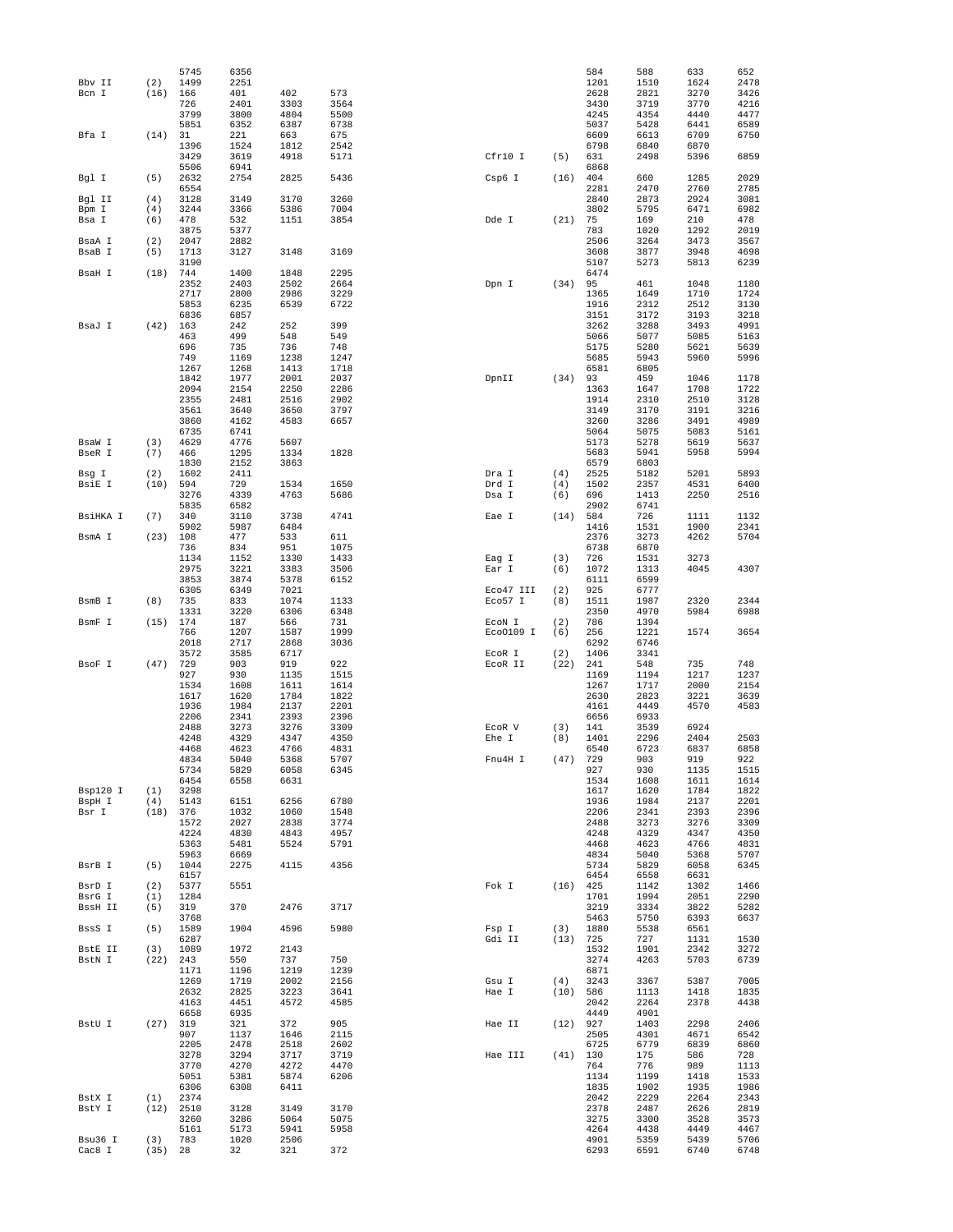|                   |                  | 5745         | 6356         |              |              |                   |            | 584          | 588          | 633          | 652          |
|-------------------|------------------|--------------|--------------|--------------|--------------|-------------------|------------|--------------|--------------|--------------|--------------|
| Bbv II            | (2)              | 1499         | 2251         |              |              |                   |            | 1201         | 1510         | 1624         | 2478         |
| Bcn I             | (16)             | 166          | 401          | 402          | 573          |                   |            | 2628         | 2821         | 3270         | 3426         |
|                   |                  | 726          | 2401         | 3303         | 3564         |                   |            | 3430         | 3719         | 3770         | 4216         |
|                   |                  | 3799         | 3800         | 4804         | 5500         |                   |            | 4245         | 4354         | 4440         | 4477         |
|                   |                  | 5851         | 6352         | 6387         | 6738         |                   |            | 5037         | 5428         | 6441         | 6589         |
| Bfa I             | (14)             | 31<br>1396   | 221          | 663          | 675          |                   |            | 6609<br>6798 | 6613         | 6709<br>6870 | 6750         |
|                   |                  | 3429         | 1524<br>3619 | 1812<br>4918 | 2542<br>5171 | Cfr10 I           | (5)        | 631          | 6840<br>2498 | 5396         | 6859         |
|                   |                  | 5506         | 6941         |              |              |                   |            | 6868         |              |              |              |
| Bgl I             | (5)              | 2632         | 2754         | 2825         | 5436         | Csp6 I            | (16)       | 404          | 660          | 1285         | 2029         |
|                   |                  | 6554         |              |              |              |                   |            | 2281         | 2470         | 2760         | 2785         |
| Bgl II            | (4)              | 3128         | 3149         | 3170         | 3260         |                   |            | 2840         | 2873         | 2924         | 3081         |
| Bpm I             | (4)              | 3244         | 3366         | 5386         | 7004         |                   |            | 3802         | 5795         | 6471         | 6982         |
| Bsa I             | (6)              | 478          | 532          | 1151         | 3854         | Dde I             | (21)       | 75           | 169          | 210          | 478          |
|                   |                  | 3875         | 5377         |              |              |                   |            | 783          | 1020         | 1292         | 2019         |
| BsaA I            | (2)              | 2047         | 2882         |              |              |                   |            | 2506         | 3264         | 3473         | 3567         |
| BsaB I            | (5)              | 1713         | 3127         | 3148         | 3169         |                   |            | 3608         | 3877         | 3948         | 4698         |
|                   |                  | 3190         |              |              |              |                   |            | 5107         | 5273         | 5813         | 6239         |
| BsaH I            | (18)             | 744          | 1400         | 1848         | 2295         |                   |            | 6474         |              |              |              |
|                   |                  | 2352         | 2403         | 2502         | 2664         | Dpn I             | (34)       | 95           | 461          | 1048         | 1180         |
|                   |                  | 2717         | 2800         | 2986         | 3229         |                   |            | 1365         | 1649         | 1710         | 1724         |
|                   |                  | 5853         | 6235         | 6539         | 6722         |                   |            | 1916         | 2312         | 2512         | 3130         |
|                   |                  | 6836         | 6857         |              |              |                   |            | 3151         | 3172         | 3193         | 3218         |
| BsaJ I            | (42)             | 163          | 242          | 252          | 399          |                   |            | 3262         | 3288         | 3493         | 4991         |
|                   |                  | 463          | 499          | 548          | 549          |                   |            | 5066         | 5077         | 5085         | 5163         |
|                   |                  | 696          | 735          | 736          | 748          |                   |            | 5175         | 5280         | 5621         | 5639         |
|                   |                  | 749          | 1169         | 1238         | 1247         |                   |            | 5685         | 5943         | 5960         | 5996         |
|                   |                  | 1267<br>1842 | 1268<br>1977 | 1413<br>2001 | 1718<br>2037 |                   |            | 6581<br>93   | 6805<br>459  | 1046         |              |
|                   |                  | 2094         | 2154         | 2250         | 2286         | DpnII             | (34)       | 1363         | 1647         | 1708         | 1178<br>1722 |
|                   |                  | 2355         | 2481         | 2516         | 2902         |                   |            | 1914         | 2310         | 2510         | 3128         |
|                   |                  | 3561         | 3640         | 3650         | 3797         |                   |            | 3149         | 3170         | 3191         | 3216         |
|                   |                  | 3860         | 4162         | 4583         | 6657         |                   |            | 3260         | 3286         | 3491         | 4989         |
|                   |                  | 6735         | 6741         |              |              |                   |            | 5064         | 5075         | 5083         | 5161         |
| BsaW I            | (3)              | 4629         | 4776         | 5607         |              |                   |            | 5173         | 5278         | 5619         | 5637         |
| BseR I            | (7)              | 466          | 1295         | 1334         | 1828         |                   |            | 5683         | 5941         | 5958         | 5994         |
|                   |                  | 1830         | 2152         | 3863         |              |                   |            | 6579         | 6803         |              |              |
| Bsg I             | (2)              | 1602         | 2411         |              |              | Dra I             | (4)        | 2525         | 5182         | 5201         | 5893         |
| BsiE I            | (10)             | 594          | 729          | 1534         | 1650         | Drd I             | (4)        | 1502         | 2357         | 4531         | 6400         |
|                   |                  | 3276         | 4339         | 4763         | 5686         | Dsa I             | (6)        | 696          | 1413         | 2250         | 2516         |
|                   |                  | 5835         | 6582         |              |              |                   |            | 2902         | 6741         |              |              |
| BsiHKA I          | (7)              | 340          | 3110         | 3738         | 4741         | Eae I             | (14)       | 584          | 726          | 1111         | 1132         |
|                   |                  | 5902         | 5987         | 6484         |              |                   |            | 1416         | 1531         | 1900         | 2341         |
| BsmA I            | (23)             | 108          | 477          | 533          | 611          |                   |            | 2376         | 3273         | 4262         | 5704         |
|                   |                  | 736          | 834          | 951          | 1075         |                   |            | 6738         | 6870         |              |              |
|                   |                  | 1134         | 1152         | 1330         | 1433         | Eag I             | (3)        | 726          | 1531         | 3273         |              |
|                   |                  | 2975         | 3221         | 3383         | 3506         | Ear I             | (6)        | 1072         | 1313         | 4045         | 4307         |
|                   |                  | 3853         | 3874         | 5378         | 6152         |                   |            | 6111         | 6599         |              |              |
|                   |                  | 6305         | 6349         | 7021         |              | Eco47 III         | (2)        | 925          | 6777         |              |              |
| BsmB I            | (8)              | 735          | 833          | 1074         | 1133         | Eco57 I           | (8)        | 1511         | 1987         | 2320         | 2344         |
|                   |                  | 1331         | 3220         | 6306         | 6348         |                   |            | 2350         | 4970         | 5984         | 6988         |
| BsmF I            | (15)             | 174          | 187          | 566          | 731          | ECON I            | (2)        | 786          | 1394         |              |              |
|                   |                  | 766          | 1207         | 1587         | 1999         | Eco0109 I         | (6)        | 256          | 1221         | 1574         | 3654         |
|                   |                  | 2018<br>3572 | 2717<br>3585 | 2868<br>6717 | 3036         |                   | (2)        | 6292<br>1406 | 6746<br>3341 |              |              |
| BsoF I            | (47)             | 729          | 903          | 919          | 922          | EcoR I<br>ECOR II | (22)       | 241          | 548          | 735          | 748          |
|                   |                  | 927          | 930          | 1135         | 1515         |                   |            | 1169         | 1194         | 1217         | 1237         |
|                   |                  | 1534         | 1608         | 1611         | 1614         |                   |            | 1267         | 1717         | 2000         | 2154         |
|                   |                  | 1617         | 1620         | 1784         | 1822         |                   |            | 2630         | 2823         | 3221         | 3639         |
|                   |                  | 1936         | 1984         | 2137         | 2201         |                   |            | 4161         | 4449         | 4570         | 4583         |
|                   |                  | 2206         | 2341         | 2393         | 2396         |                   |            | 6656         | 6933         |              |              |
|                   |                  | 2488         | 3273         | 3276         | 3309         | ECOR V            | (3)        | 141          | 3539         | 6924         |              |
|                   |                  | 4248         | 4329         | 4347         | 4350         | Ehe I             | (8)        | 1401         | 2296         | 2404         | 2503         |
|                   |                  | 4468         | 4623         | 4766         | 4831         |                   |            | 6540         | 6723         | 6837         | 6858         |
|                   |                  | 4834         | 5040         | 5368         | 5707         | Fnu4H I           | (47)       | 729          | 903          | 919          | 922          |
|                   |                  | 5734         | 5829         | 6058         | 6345         |                   |            | 927          | 930          | 1135         | 1515         |
|                   |                  | 6454         | 6558         | 6631         |              |                   |            | 1534         | 1608         | 1611         | 1614         |
| Bsp120 I          | (1)              | 3298         |              |              |              |                   |            | 1617         | 1620         | 1784         | 1822         |
| BspH I            | (4)              | 5143         | 6151         | 6256         | 6780         |                   |            | 1936         | 1984         | 2137         | 2201         |
| Bsr I             | (18)             | 376          | 1032         | 1060         | 1548         |                   |            | 2206         | 2341         | 2393         | 2396         |
|                   |                  | 1572<br>4224 | 2027<br>4830 | 2838<br>4843 | 3774<br>4957 |                   |            | 2488<br>4248 | 3273<br>4329 | 3276<br>4347 | 3309<br>4350 |
|                   |                  | 5363         | 5481         | 5524         | 5791         |                   |            | 4468         | 4623         | 4766         | 4831         |
|                   |                  | 5963         | 6669         |              |              |                   |            | 4834         | 5040         | 5368         | 5707         |
| BsrB I            | (5)              | 1044         | 2275         | 4115         | 4356         |                   |            | 5734         | 5829         | 6058         | 6345         |
|                   |                  | 6157         |              |              |              |                   |            | 6454         | 6558         | 6631         |              |
| BsrD I            | (2)              | 5377         | 5551         |              |              | Fok I             | $(16)$ 425 |              | 1142         | 1302         | 1466         |
| BsrG I            | (1)              | 1284         |              |              |              |                   |            | 1701         | 1994         | 2051         | 2290         |
| BssH II           | (5)              | 319          | 370          | 2476         | 3717         |                   |            | 3219         | 3334         | 3822         | 5282         |
|                   |                  | 3768         |              |              |              |                   |            | 5463         | 5750         | 6393         | 6637         |
| BssS I            | (5)              | 1589         | 1904         | 4596         | 5980         | Fsp I             | (3)        | 1880         | 5538         | 6561         |              |
|                   |                  | 6287         |              |              |              | Gdi II            | (13) 725   |              | 727          | 1131         | 1530         |
| BstE II           | (3)              | 1089         | 1972         | 2143         |              |                   |            | 1532         | 1901         | 2342         | 3272         |
| BstN I            |                  | $(22)$ 243   | 550          | 737          | 750          |                   |            | 3274         | 4263         | 5703         | 6739         |
|                   |                  |              | 1196         | 1219         | 1239         |                   |            | 6871         |              |              |              |
|                   |                  | 1171         |              |              |              |                   | (4)        | 3243         | 3367         | 5387         | 7005         |
|                   |                  | 1269         | 1719         | 2002         | 2156         | Gsu I             |            |              |              |              |              |
|                   |                  | 2632         | 2825         | 3223         | 3641         | Hae I             | $(10)$ 586 |              | 1113         | 1418         | 1835         |
|                   |                  | 4163         | 4451         | 4572         | 4585         |                   |            | 2042         | 2264         | 2378         | 4438         |
|                   |                  | 6658         | 6935         |              |              |                   |            | 4449         | 4901         |              |              |
| BstU I            | (27)             | 319          | 321          | 372          | 905          | Hae II            | $(12)$ 927 |              | 1403         | 2298         | 2406         |
|                   |                  | 907          | 1137         | 1646         | 2115         |                   |            | 2505         | 4301         | 4671         | 6542         |
|                   |                  | 2205         | 2478         | 2518         | 2602         |                   |            | 6725         | 6779         | 6839         | 6860         |
|                   |                  | 3278         | 3294         | 3717         | 3719         | Hae III           | $(41)$ 130 |              | 175          | 586          | 728          |
|                   |                  | 3770         | 4270         | 4272         | 4470         |                   |            | 764          | 776          | 989          | 1113         |
|                   |                  | 5051         | 5381         | 5874         | 6206         |                   |            | 1134         | 1199         | 1418         | 1533         |
|                   |                  | 6306         | 6308         | 6411         |              |                   |            | 1835         | 1902         | 1935         | 1986         |
| BstX I            | (1)              | 2374         |              |              |              |                   |            | 2042         | 2229         | 2264         | 2343         |
| BstY I            |                  | $(12)$ 2510  | 3128         | 3149         | 3170         |                   |            | 2378         | 2487         | 2626         | 2819         |
|                   |                  | 3260         | 3286         | 5064         | 5075         |                   |            | 3275         | 3300         | 3528         | 3573         |
|                   |                  | 5161         | 5173         | 5941         | 5958         |                   |            | 4264         | 4438         | 4449         | 4467         |
| Bsu36 I<br>Cac8 I | (3)<br>$(35)$ 28 | 783          | 1020<br>32   | 2506<br>321  | 372          |                   |            | 4901<br>6293 | 5359<br>6591 | 5439<br>6740 | 5706<br>6748 |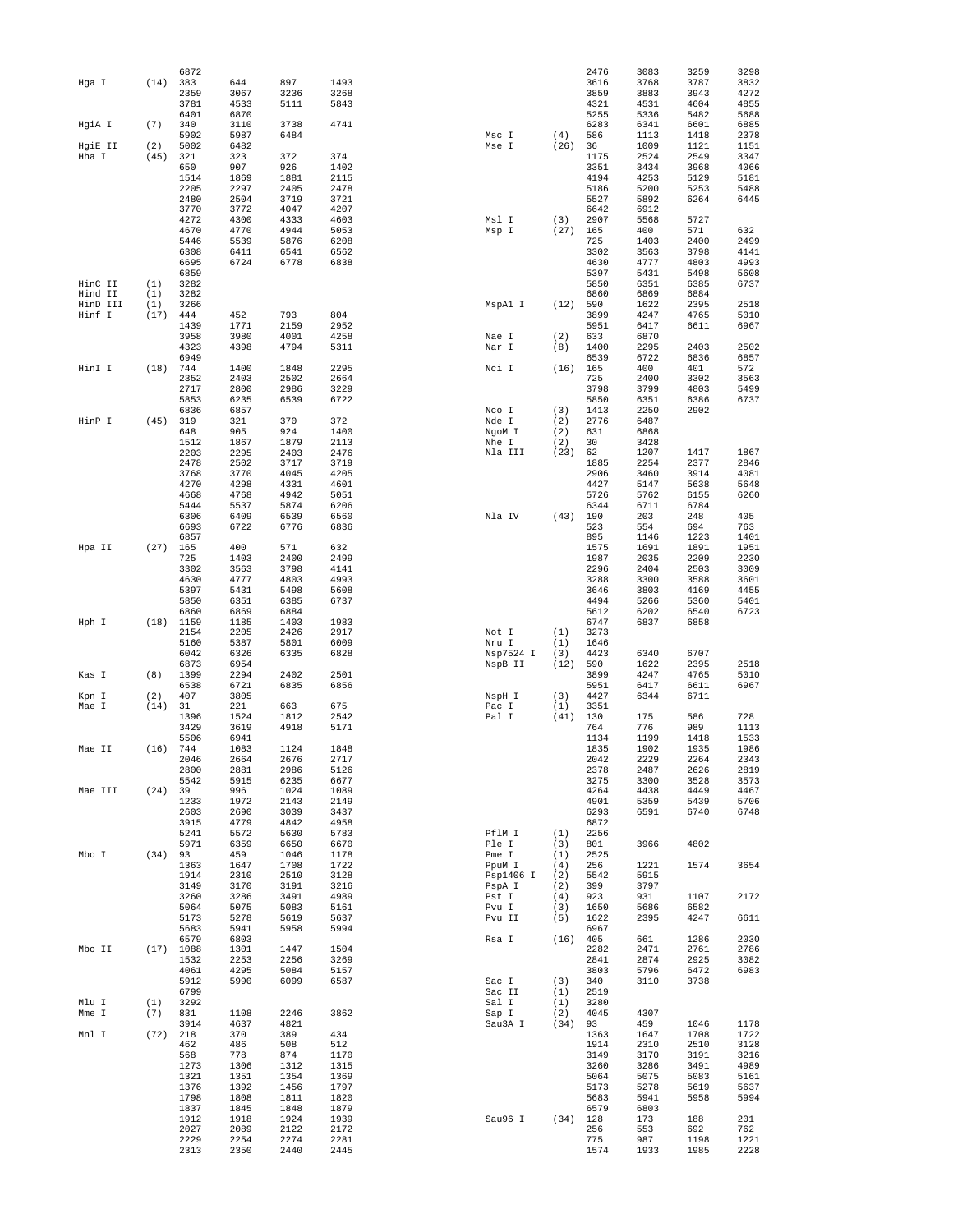|          |      | 6872        |      |      |      |           |            | 2476 | 3083 | 3259 | 3298 |
|----------|------|-------------|------|------|------|-----------|------------|------|------|------|------|
| Hga I    | (14) | 383         | 644  | 897  | 1493 |           |            | 3616 | 3768 | 3787 | 3832 |
|          |      | 2359        | 3067 | 3236 | 3268 |           |            | 3859 | 3883 | 3943 | 4272 |
|          |      | 3781        | 4533 | 5111 | 5843 |           |            | 4321 | 4531 | 4604 | 4855 |
|          |      | 6401        | 6870 |      |      |           |            | 5255 | 5336 | 5482 | 5688 |
| HgiA I   | (7)  | 340         | 3110 | 3738 | 4741 |           |            | 6283 | 6341 | 6601 | 6885 |
|          |      | 5902        | 5987 | 6484 |      | Msc I     | (4)        | 586  | 1113 | 1418 | 2378 |
| HgiE II  | (2)  | 5002        | 6482 |      |      | Mse I     | (26)       | 36   | 1009 | 1121 | 1151 |
| Hha I    | (45) | 321         | 323  | 372  | 374  |           |            | 1175 | 2524 | 2549 | 3347 |
|          |      | 650         | 907  | 926  | 1402 |           |            | 3351 | 3434 | 3968 | 4066 |
|          |      | 1514        | 1869 | 1881 | 2115 |           |            | 4194 | 4253 | 5129 | 5181 |
|          |      | 2205        | 2297 | 2405 | 2478 |           |            | 5186 | 5200 | 5253 | 5488 |
|          |      | 2480        | 2504 | 3719 | 3721 |           |            | 5527 | 5892 | 6264 | 6445 |
|          |      | 3770        | 3772 | 4047 | 4207 |           |            | 6642 | 6912 |      |      |
|          |      | 4272        | 4300 | 4333 | 4603 | Msl I     | (3)        | 2907 | 5568 | 5727 |      |
|          |      | 4670        | 4770 | 4944 | 5053 | Msp I     | (27)       | 165  | 400  | 571  | 632  |
|          |      | 5446        | 5539 | 5876 | 6208 |           |            | 725  | 1403 | 2400 | 2499 |
|          |      | 6308        | 6411 | 6541 | 6562 |           |            | 3302 | 3563 | 3798 | 4141 |
|          |      | 6695        | 6724 | 6778 | 6838 |           |            | 4630 | 4777 | 4803 | 4993 |
|          |      | 6859        |      |      |      |           |            | 5397 | 5431 | 5498 | 5608 |
|          |      |             |      |      |      |           |            |      |      |      |      |
| HinC II  | (1)  | 3282        |      |      |      |           |            | 5850 | 6351 | 6385 | 6737 |
| Hind II  | (1)  | 3282        |      |      |      |           |            | 6860 | 6869 | 6884 |      |
| HinD III | (1)  | 3266        |      |      |      | MspAl I   | (12)       | 590  | 1622 | 2395 | 2518 |
| Hinf I   | (17) | 444         | 452  | 793  | 804  |           |            | 3899 | 4247 | 4765 | 5010 |
|          |      | 1439        | 1771 | 2159 | 2952 |           |            | 5951 | 6417 | 6611 | 6967 |
|          |      | 3958        | 3980 | 4001 | 4258 | Nae I     | (2)        | 633  | 6870 |      |      |
|          |      | 4323        | 4398 | 4794 | 5311 | Nar I     | (8)        | 1400 | 2295 | 2403 | 2502 |
|          |      | 6949        |      |      |      |           |            | 6539 | 6722 | 6836 | 6857 |
| HinI I   | (18) | 744         | 1400 | 1848 | 2295 | Nci I     | (16)       | 165  | 400  | 401  | 572  |
|          |      | 2352        | 2403 | 2502 | 2664 |           |            | 725  | 2400 | 3302 | 3563 |
|          |      | 2717        | 2800 | 2986 | 3229 |           |            | 3798 | 3799 | 4803 | 5499 |
|          |      | 5853        | 6235 | 6539 | 6722 |           |            | 5850 | 6351 | 6386 | 6737 |
|          |      | 6836        | 6857 |      |      | Nco I     | (3)        | 1413 | 2250 | 2902 |      |
| HinP I   | (45) | 319         | 321  | 370  | 372  | Nde I     | (2)        | 2776 | 6487 |      |      |
|          |      | 648         | 905  | 924  | 1400 | NgoM I    | (2)        | 631  | 6868 |      |      |
|          |      | 1512        | 1867 | 1879 | 2113 | Nhe I     | (2)        | 30   | 3428 |      |      |
|          |      | 2203        | 2295 | 2403 | 2476 | Nla III   | (23)       | 62   | 1207 | 1417 | 1867 |
|          |      |             |      |      |      |           |            |      |      |      |      |
|          |      | 2478        | 2502 | 3717 | 3719 |           |            | 1885 | 2254 | 2377 | 2846 |
|          |      | 3768        | 3770 | 4045 | 4205 |           |            | 2906 | 3460 | 3914 | 4081 |
|          |      | 4270        | 4298 | 4331 | 4601 |           |            | 4427 | 5147 | 5638 | 5648 |
|          |      | 4668        | 4768 | 4942 | 5051 |           |            | 5726 | 5762 | 6155 | 6260 |
|          |      | 5444        | 5537 | 5874 | 6206 |           |            | 6344 | 6711 | 6784 |      |
|          |      | 6306        | 6409 | 6539 | 6560 | Nla IV    | (43)       | 190  | 203  | 248  | 405  |
|          |      | 6693        | 6722 | 6776 | 6836 |           |            | 523  | 554  | 694  | 763  |
|          |      | 6857        |      |      |      |           |            | 895  | 1146 | 1223 | 1401 |
| Hpa II   | (27) | 165         | 400  | 571  | 632  |           |            | 1575 | 1691 | 1891 | 1951 |
|          |      | 725         | 1403 | 2400 | 2499 |           |            | 1987 | 2035 | 2209 | 2230 |
|          |      | 3302        | 3563 | 3798 | 4141 |           |            | 2296 | 2404 | 2503 | 3009 |
|          |      | 4630        | 4777 | 4803 | 4993 |           |            | 3288 | 3300 | 3588 | 3601 |
|          |      | 5397        | 5431 | 5498 | 5608 |           |            | 3646 | 3803 | 4169 | 4455 |
|          |      | 5850        | 6351 | 6385 | 6737 |           |            | 4494 | 5266 | 5360 | 5401 |
|          |      | 6860        | 6869 | 6884 |      |           |            | 5612 | 6202 | 6540 | 6723 |
| Hph I    | (18) | 1159        | 1185 | 1403 | 1983 |           |            | 6747 | 6837 | 6858 |      |
|          |      | 2154        | 2205 | 2426 | 2917 | Not I     | (1)        | 3273 |      |      |      |
|          |      | 5160        |      |      |      |           |            |      |      |      |      |
|          |      |             | 5387 | 5801 | 6009 | Nru I     | (1)        | 1646 |      |      |      |
|          |      | 6042        | 6326 | 6335 | 6828 | Nsp7524 I | (3)        | 4423 | 6340 | 6707 |      |
|          |      | 6873        | 6954 |      |      | NspB II   | (12)       | 590  | 1622 | 2395 | 2518 |
| Kas I    | (8)  | 1399        | 2294 | 2402 | 2501 |           |            | 3899 | 4247 | 4765 | 5010 |
|          |      | 6538        | 6721 | 6835 | 6856 |           |            | 5951 | 6417 | 6611 | 6967 |
| Kpn I    | (2)  | 407         | 3805 |      |      | NspH I    | (3)        | 4427 | 6344 | 6711 |      |
| Mae I    | (14) | 31          | 221  | 663  | 675  | Pac I     | (1)        | 3351 |      |      |      |
|          |      | 1396        | 1524 | 1812 | 2542 | Pal I     | (41)       | 130  | 175  | 586  | 728  |
|          |      | 3429        | 3619 | 4918 | 5171 |           |            | 764  | 776  | 989  | 1113 |
|          |      | 5506        | 6941 |      |      |           |            | 1134 | 1199 | 1418 | 1533 |
| Mae II   | (16) | 744         | 1083 | 1124 | 1848 |           |            | 1835 | 1902 | 1935 | 1986 |
|          |      | 2046        | 2664 | 2676 | 2717 |           |            | 2042 | 2229 | 2264 | 2343 |
|          |      | 2800        | 2881 | 2986 | 5126 |           |            | 2378 | 2487 | 2626 | 2819 |
|          |      | 5542        | 5915 | 6235 | 6677 |           |            | 3275 | 3300 | 3528 | 3573 |
| Mae III  | (24) | 39          | 996  | 1024 | 1089 |           |            | 4264 | 4438 | 4449 | 4467 |
|          |      | 1233        | 1972 | 2143 | 2149 |           |            | 4901 | 5359 | 5439 | 5706 |
|          |      | 2603        | 2690 | 3039 | 3437 |           |            | 6293 | 6591 | 6740 | 6748 |
|          |      | 3915        | 4779 | 4842 | 4958 |           |            | 6872 |      |      |      |
|          |      | 5241        | 5572 | 5630 | 5783 | PflM I    | (1)        | 2256 |      |      |      |
|          |      | 5971        | 6359 | 6650 | 6670 | Ple I     | (3)        | 801  | 3966 | 4802 |      |
| Mbo I    | (34) | 93          | 459  | 1046 | 1178 | Pme I     | (1)        | 2525 |      |      |      |
|          |      | 1363        | 1647 | 1708 | 1722 | PpuM I    | (4)        | 256  | 1221 | 1574 | 3654 |
|          |      | 1914        | 2310 | 2510 | 3128 | Psp1406 I | (2)        | 5542 | 5915 |      |      |
|          |      | 3149        | 3170 | 3191 | 3216 | PspA I    | (2)        | 399  | 3797 |      |      |
|          |      | 3260        | 3286 | 3491 | 4989 | Pst I     | (4)        | 923  | 931  | 1107 | 2172 |
|          |      | 5064        | 5075 | 5083 | 5161 | Pvu I     | (3)        | 1650 | 5686 | 6582 |      |
|          |      | 5173        | 5278 | 5619 | 5637 | Pvu II    | (5)        | 1622 | 2395 | 4247 | 6611 |
|          |      | 5683        | 5941 | 5958 | 5994 |           |            | 6967 |      |      |      |
|          |      | 6579        | 6803 |      |      | Rsa I     | $(16)$ 405 |      | 661  | 1286 | 2030 |
| Mbo II   |      | $(17)$ 1088 | 1301 | 1447 | 1504 |           |            | 2282 | 2471 | 2761 | 2786 |
|          |      |             |      |      |      |           |            |      |      |      |      |
|          |      | 1532        | 2253 | 2256 | 3269 |           |            | 2841 | 2874 | 2925 | 3082 |
|          |      | 4061        | 4295 | 5084 | 5157 |           |            | 3803 | 5796 | 6472 | 6983 |
|          |      | 5912        | 5990 | 6099 | 6587 | Sac I     | (3)        | 340  | 3110 | 3738 |      |
|          |      | 6799        |      |      |      | Sac II    | (1)        | 2519 |      |      |      |
| Mlu I    | (1)  | 3292        |      |      |      | Sal I     | (1)        | 3280 |      |      |      |
| Mme I    | (7)  | 831         | 1108 | 2246 | 3862 | Sap I     | (2)        | 4045 | 4307 |      |      |
|          |      | 3914        | 4637 | 4821 |      | Sau3A I   | $(34)$ 93  |      | 459  | 1046 | 1178 |
| Mnl I    | (72) | 218         | 370  | 389  | 434  |           |            | 1363 | 1647 | 1708 | 1722 |
|          |      | 462         | 486  | 508  | 512  |           |            | 1914 | 2310 | 2510 | 3128 |
|          |      | 568         | 778  | 874  | 1170 |           |            | 3149 | 3170 | 3191 | 3216 |
|          |      | 1273        | 1306 | 1312 | 1315 |           |            | 3260 | 3286 | 3491 | 4989 |
|          |      | 1321        | 1351 | 1354 | 1369 |           |            | 5064 | 5075 | 5083 | 5161 |
|          |      | 1376        | 1392 | 1456 | 1797 |           |            | 5173 | 5278 | 5619 | 5637 |
|          |      | 1798        | 1808 | 1811 | 1820 |           |            | 5683 | 5941 | 5958 | 5994 |
|          |      | 1837        | 1845 | 1848 | 1879 |           |            | 6579 | 6803 |      |      |
|          |      | 1912        | 1918 | 1924 | 1939 | Sau96 I   | $(34)$ 128 |      | 173  | 188  | 201  |
|          |      | 2027        | 2089 | 2122 | 2172 |           |            | 256  | 553  | 692  | 762  |
|          |      | 2229        | 2254 | 2274 | 2281 |           |            | 775  | 987  | 1198 | 1221 |
|          |      |             |      |      |      |           |            |      |      |      |      |
|          |      | 2313        | 2350 | 2440 | 2445 |           |            | 1574 | 1933 | 1985 | 2228 |